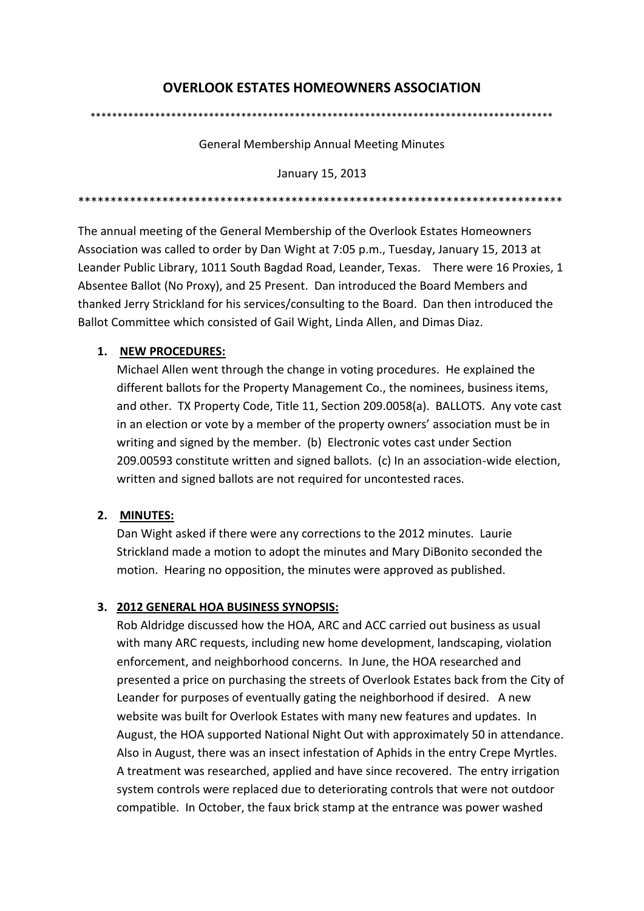# **OVERLOOK ESTATES HOMEOWNERS ASSOCIATION**

\*\*\*\*\*\*\*\*\*\*\*\*\*\*\*\*\*\*\*\*\*\*\*\*\*\*\*\*\*\*\*\*\*\*\*\*\*\*\*\*\*\*\*\*\*\*\*\*\*\*\*\*\*\*\*\*\*\*\*\*\*\*\*\*\*\*\*\*\*\*\*\*\*\*\*\*\*\*\*\*\*\*\*\*\*\*

General Membership Annual Meeting Minutes

January 15, 2013

\*\*\*\*\*\*\*\*\*\*\*\*\*\*\*\*\*\*\*\*\*\*\*\*\*\*\*\*\*\*\*\*\*\*\*\*\*\*\*\*\*\*\*\*\*\*\*\*\*\*\*\*\*\*\*\*\*\*\*\*\*\*\*\*\*\*\*\*\*\*\*\*\*\*\*

The annual meeting of the General Membership of the Overlook Estates Homeowners Association was called to order by Dan Wight at 7:05 p.m., Tuesday, January 15, 2013 at Leander Public Library, 1011 South Bagdad Road, Leander, Texas. There were 16 Proxies, 1 Absentee Ballot (No Proxy), and 25 Present. Dan introduced the Board Members and thanked Jerry Strickland for his services/consulting to the Board. Dan then introduced the Ballot Committee which consisted of Gail Wight, Linda Allen, and Dimas Diaz.

## **1. NEW PROCEDURES:**

Michael Allen went through the change in voting procedures. He explained the different ballots for the Property Management Co., the nominees, business items, and other. TX Property Code, Title 11, Section 209.0058(a). BALLOTS. Any vote cast in an election or vote by a member of the property owners' association must be in writing and signed by the member. (b) Electronic votes cast under Section 209.00593 constitute written and signed ballots. (c) In an association-wide election, written and signed ballots are not required for uncontested races.

### **2. MINUTES:**

Dan Wight asked if there were any corrections to the 2012 minutes. Laurie Strickland made a motion to adopt the minutes and Mary DiBonito seconded the motion. Hearing no opposition, the minutes were approved as published.

## **3. 2012 GENERAL HOA BUSINESS SYNOPSIS:**

Rob Aldridge discussed how the HOA, ARC and ACC carried out business as usual with many ARC requests, including new home development, landscaping, violation enforcement, and neighborhood concerns. In June, the HOA researched and presented a price on purchasing the streets of Overlook Estates back from the City of Leander for purposes of eventually gating the neighborhood if desired. A new website was built for Overlook Estates with many new features and updates. In August, the HOA supported National Night Out with approximately 50 in attendance. Also in August, there was an insect infestation of Aphids in the entry Crepe Myrtles. A treatment was researched, applied and have since recovered. The entry irrigation system controls were replaced due to deteriorating controls that were not outdoor compatible. In October, the faux brick stamp at the entrance was power washed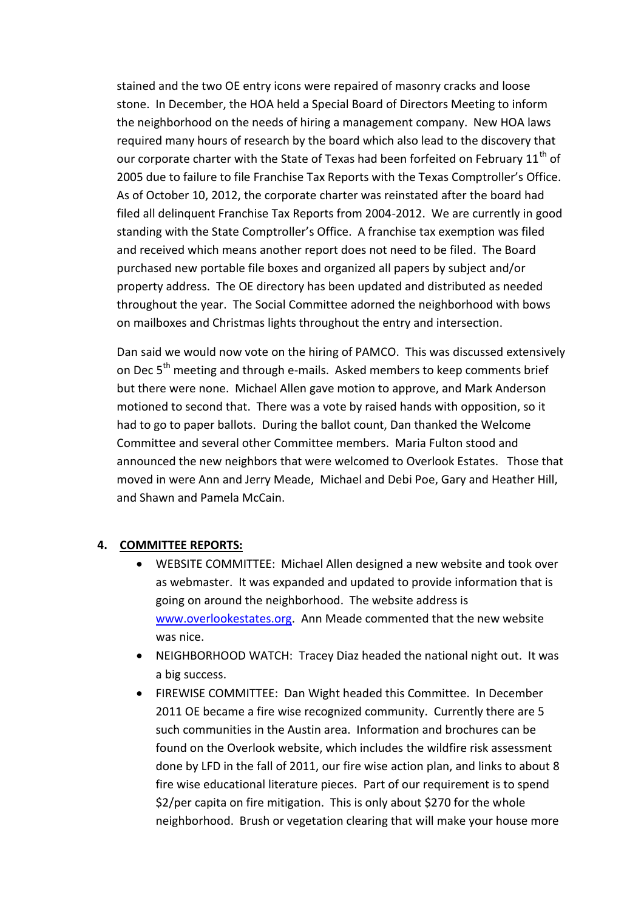stained and the two OE entry icons were repaired of masonry cracks and loose stone. In December, the HOA held a Special Board of Directors Meeting to inform the neighborhood on the needs of hiring a management company. New HOA laws required many hours of research by the board which also lead to the discovery that our corporate charter with the State of Texas had been forfeited on February  $11<sup>th</sup>$  of 2005 due to failure to file Franchise Tax Reports with the Texas Comptroller's Office. As of October 10, 2012, the corporate charter was reinstated after the board had filed all delinquent Franchise Tax Reports from 2004-2012. We are currently in good standing with the State Comptroller's Office. A franchise tax exemption was filed and received which means another report does not need to be filed. The Board purchased new portable file boxes and organized all papers by subject and/or property address. The OE directory has been updated and distributed as needed throughout the year. The Social Committee adorned the neighborhood with bows on mailboxes and Christmas lights throughout the entry and intersection.

Dan said we would now vote on the hiring of PAMCO. This was discussed extensively on Dec 5<sup>th</sup> meeting and through e-mails. Asked members to keep comments brief but there were none. Michael Allen gave motion to approve, and Mark Anderson motioned to second that. There was a vote by raised hands with opposition, so it had to go to paper ballots. During the ballot count, Dan thanked the Welcome Committee and several other Committee members. Maria Fulton stood and announced the new neighbors that were welcomed to Overlook Estates. Those that moved in were Ann and Jerry Meade, Michael and Debi Poe, Gary and Heather Hill, and Shawn and Pamela McCain.

## **4. COMMITTEE REPORTS:**

- WEBSITE COMMITTEE: Michael Allen designed a new website and took over as webmaster. It was expanded and updated to provide information that is going on around the neighborhood. The website address is [www.overlookestates.org.](http://www.overlookestates.org/) Ann Meade commented that the new website was nice.
- NEIGHBORHOOD WATCH: Tracey Diaz headed the national night out. It was a big success.
- FIREWISE COMMITTEE: Dan Wight headed this Committee. In December 2011 OE became a fire wise recognized community. Currently there are 5 such communities in the Austin area. Information and brochures can be found on the Overlook website, which includes the wildfire risk assessment done by LFD in the fall of 2011, our fire wise action plan, and links to about 8 fire wise educational literature pieces. Part of our requirement is to spend \$2/per capita on fire mitigation. This is only about \$270 for the whole neighborhood. Brush or vegetation clearing that will make your house more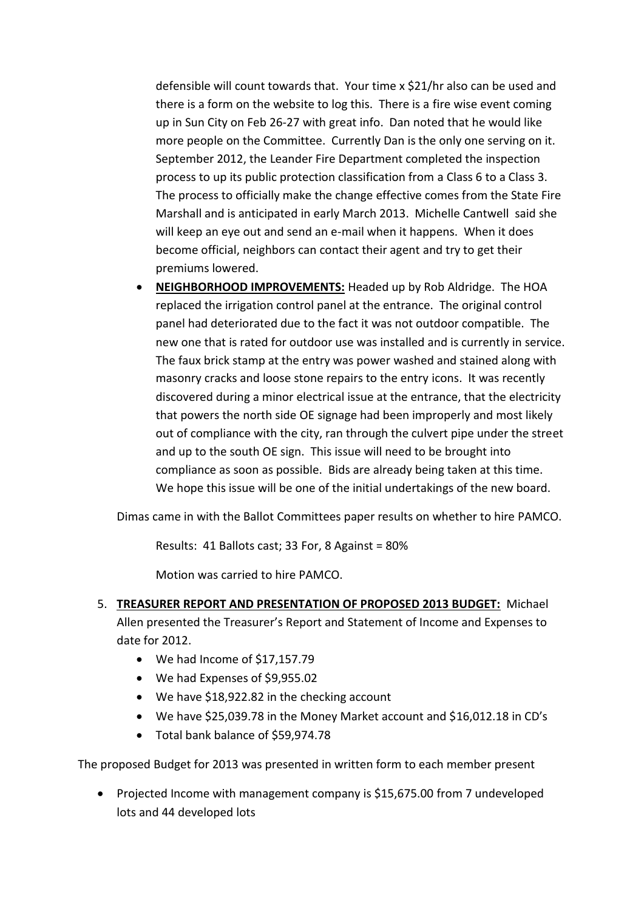defensible will count towards that. Your time x \$21/hr also can be used and there is a form on the website to log this. There is a fire wise event coming up in Sun City on Feb 26-27 with great info. Dan noted that he would like more people on the Committee. Currently Dan is the only one serving on it. September 2012, the Leander Fire Department completed the inspection process to up its public protection classification from a Class 6 to a Class 3. The process to officially make the change effective comes from the State Fire Marshall and is anticipated in early March 2013. Michelle Cantwell said she will keep an eye out and send an e-mail when it happens. When it does become official, neighbors can contact their agent and try to get their premiums lowered.

 **NEIGHBORHOOD IMPROVEMENTS:** Headed up by Rob Aldridge. The HOA replaced the irrigation control panel at the entrance. The original control panel had deteriorated due to the fact it was not outdoor compatible. The new one that is rated for outdoor use was installed and is currently in service. The faux brick stamp at the entry was power washed and stained along with masonry cracks and loose stone repairs to the entry icons. It was recently discovered during a minor electrical issue at the entrance, that the electricity that powers the north side OE signage had been improperly and most likely out of compliance with the city, ran through the culvert pipe under the street and up to the south OE sign. This issue will need to be brought into compliance as soon as possible. Bids are already being taken at this time. We hope this issue will be one of the initial undertakings of the new board.

Dimas came in with the Ballot Committees paper results on whether to hire PAMCO.

Results: 41 Ballots cast; 33 For, 8 Against = 80%

Motion was carried to hire PAMCO.

- 5. **TREASURER REPORT AND PRESENTATION OF PROPOSED 2013 BUDGET:** Michael Allen presented the Treasurer's Report and Statement of Income and Expenses to date for 2012.
	- We had Income of \$17,157.79
	- We had Expenses of \$9,955.02
	- We have \$18,922.82 in the checking account
	- We have \$25,039.78 in the Money Market account and \$16,012.18 in CD's
	- Total bank balance of \$59,974.78

The proposed Budget for 2013 was presented in written form to each member present

• Projected Income with management company is \$15,675.00 from 7 undeveloped lots and 44 developed lots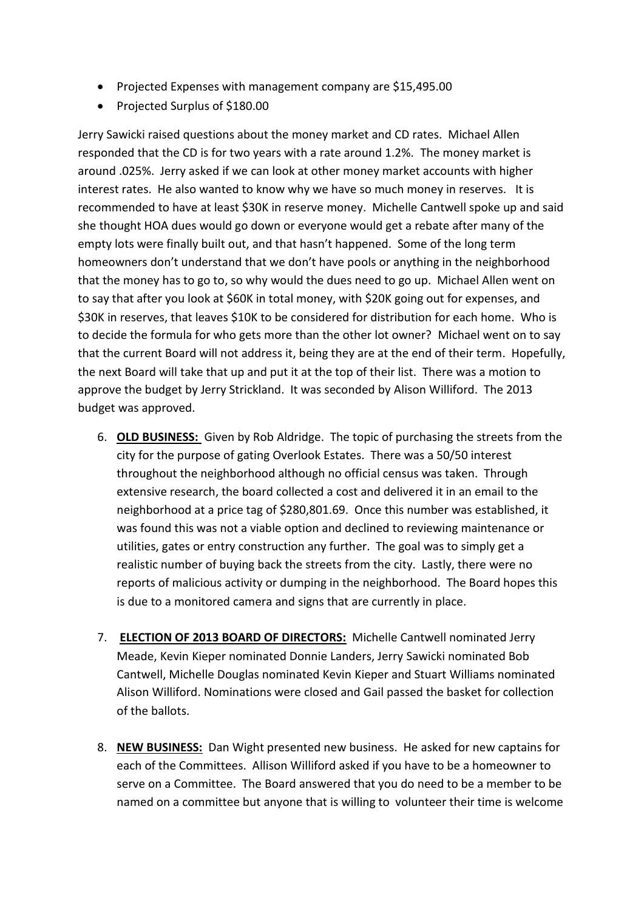- Projected Expenses with management company are \$15,495.00
- Projected Surplus of \$180.00

Jerry Sawicki raised questions about the money market and CD rates. Michael Allen responded that the CD is for two years with a rate around 1.2%. The money market is around .025%. Jerry asked if we can look at other money market accounts with higher interest rates. He also wanted to know why we have so much money in reserves. It is recommended to have at least \$30K in reserve money. Michelle Cantwell spoke up and said she thought HOA dues would go down or everyone would get a rebate after many of the empty lots were finally built out, and that hasn't happened. Some of the long term homeowners don't understand that we don't have pools or anything in the neighborhood that the money has to go to, so why would the dues need to go up. Michael Allen went on to say that after you look at \$60K in total money, with \$20K going out for expenses, and \$30K in reserves, that leaves \$10K to be considered for distribution for each home. Who is to decide the formula for who gets more than the other lot owner? Michael went on to say that the current Board will not address it, being they are at the end of their term. Hopefully, the next Board will take that up and put it at the top of their list. There was a motion to approve the budget by Jerry Strickland. It was seconded by Alison Williford. The 2013 budget was approved.

- 6. **OLD BUSINESS:** Given by Rob Aldridge. The topic of purchasing the streets from the city for the purpose of gating Overlook Estates. There was a 50/50 interest throughout the neighborhood although no official census was taken. Through extensive research, the board collected a cost and delivered it in an email to the neighborhood at a price tag of \$280,801.69. Once this number was established, it was found this was not a viable option and declined to reviewing maintenance or utilities, gates or entry construction any further. The goal was to simply get a realistic number of buying back the streets from the city. Lastly, there were no reports of malicious activity or dumping in the neighborhood. The Board hopes this is due to a monitored camera and signs that are currently in place.
- 7. **ELECTION OF 2013 BOARD OF DIRECTORS:** Michelle Cantwell nominated Jerry Meade, Kevin Kieper nominated Donnie Landers, Jerry Sawicki nominated Bob Cantwell, Michelle Douglas nominated Kevin Kieper and Stuart Williams nominated Alison Williford. Nominations were closed and Gail passed the basket for collection of the ballots.
- 8. **NEW BUSINESS:** Dan Wight presented new business. He asked for new captains for each of the Committees. Allison Williford asked if you have to be a homeowner to serve on a Committee. The Board answered that you do need to be a member to be named on a committee but anyone that is willing to volunteer their time is welcome